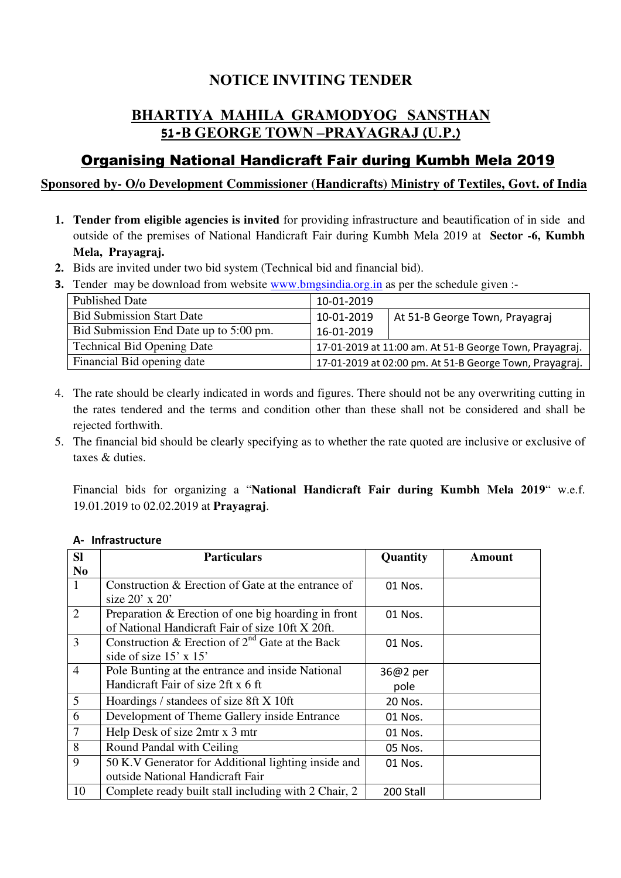# **NOTICE INVITING TENDER**

# **BHARTIYA MAHILA GRAMODYOG SANSTHAN 51-B GEORGE TOWN –PRAYAGRAJ (U.P.)**

# Organising National Handicraft Fair during Kumbh Mela 2019

# **Sponsored by- O/o Development Commissioner (Handicrafts) Ministry of Textiles, Govt. of India**

- **1. Tender from eligible agencies is invited** for providing infrastructure and beautification of in side and outside of the premises of National Handicraft Fair during Kumbh Mela 2019 at **Sector -6, Kumbh Mela, Prayagraj.**
- **2.** Bids are invited under two bid system (Technical bid and financial bid).
- **3.** Tender may be download from website www.bmgsindia.org.in as per the schedule given :-

| <b>Published Date</b>                  | 10-01-2019                                              |                                                         |
|----------------------------------------|---------------------------------------------------------|---------------------------------------------------------|
| <b>Bid Submission Start Date</b>       | 10-01-2019                                              | At 51-B George Town, Prayagraj                          |
| Bid Submission End Date up to 5:00 pm. | 16-01-2019                                              |                                                         |
| <b>Technical Bid Opening Date</b>      |                                                         | 17-01-2019 at 11:00 am. At 51-B George Town, Prayagraj. |
| Financial Bid opening date             | 17-01-2019 at 02:00 pm. At 51-B George Town, Prayagraj. |                                                         |

- 4. The rate should be clearly indicated in words and figures. There should not be any overwriting cutting in the rates tendered and the terms and condition other than these shall not be considered and shall be rejected forthwith.
- 5. The financial bid should be clearly specifying as to whether the rate quoted are inclusive or exclusive of taxes & duties.

Financial bids for organizing a "**National Handicraft Fair during Kumbh Mela 2019**" w.e.f. 19.01.2019 to 02.02.2019 at **Prayagraj**.

| <b>SI</b>      | <b>Particulars</b>                                   | Quantity  | Amount |
|----------------|------------------------------------------------------|-----------|--------|
| N <sub>0</sub> |                                                      |           |        |
| 1              | Construction & Erection of Gate at the entrance of   | 01 Nos.   |        |
|                | size $20'$ x $20'$                                   |           |        |
| $\overline{2}$ | Preparation & Erection of one big hoarding in front  | 01 Nos.   |        |
|                | of National Handicraft Fair of size 10ft X 20ft.     |           |        |
| 3              | Construction & Erection of $2^{nd}$ Gate at the Back | 01 Nos.   |        |
|                | side of size 15' x 15'                               |           |        |
| $\overline{4}$ | Pole Bunting at the entrance and inside National     | 36@2 per  |        |
|                | Handicraft Fair of size 2ft x 6 ft                   | pole      |        |
| 5              | Hoardings / standees of size 8ft X 10ft              | 20 Nos.   |        |
| 6              | Development of Theme Gallery inside Entrance         | 01 Nos.   |        |
| $\overline{7}$ | Help Desk of size 2mtr x 3 mtr                       | 01 Nos.   |        |
| 8              | Round Pandal with Ceiling                            | 05 Nos.   |        |
| 9              | 50 K.V Generator for Additional lighting inside and  | 01 Nos.   |        |
|                | outside National Handicraft Fair                     |           |        |
| 10             | Complete ready built stall including with 2 Chair, 2 | 200 Stall |        |

#### **A- Infrastructure**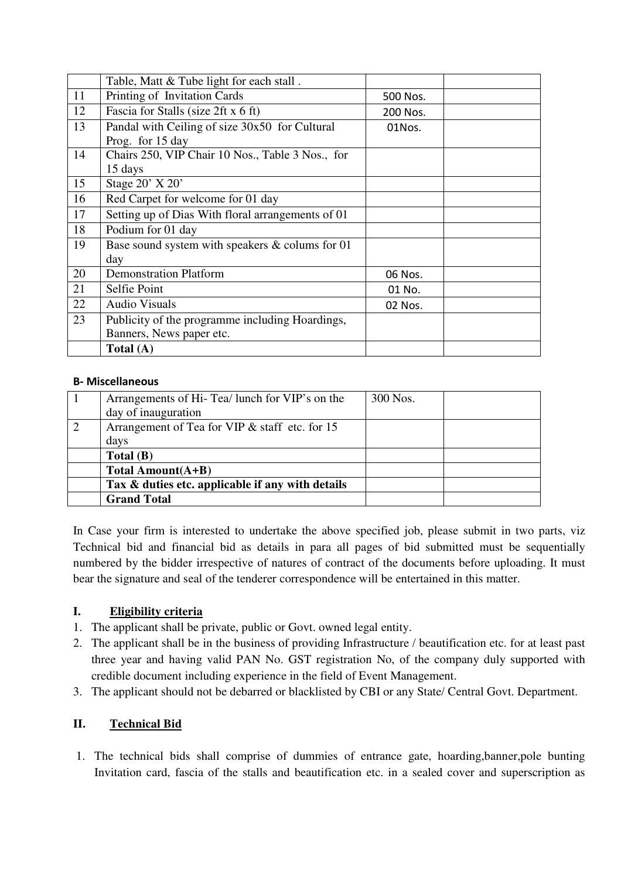|    | Table, Matt & Tube light for each stall.          |          |  |
|----|---------------------------------------------------|----------|--|
| 11 | Printing of Invitation Cards                      | 500 Nos. |  |
| 12 | Fascia for Stalls (size 2ft x 6 ft)               | 200 Nos. |  |
| 13 | Pandal with Ceiling of size 30x50 for Cultural    | 01Nos.   |  |
|    | Prog. for 15 day                                  |          |  |
| 14 | Chairs 250, VIP Chair 10 Nos., Table 3 Nos., for  |          |  |
|    | 15 days                                           |          |  |
| 15 | Stage 20' X 20'                                   |          |  |
| 16 | Red Carpet for welcome for 01 day                 |          |  |
| 17 | Setting up of Dias With floral arrangements of 01 |          |  |
| 18 | Podium for 01 day                                 |          |  |
| 19 | Base sound system with speakers & colums for 01   |          |  |
|    | day                                               |          |  |
| 20 | <b>Demonstration Platform</b>                     | 06 Nos.  |  |
| 21 | Selfie Point                                      | 01 No.   |  |
| 22 | <b>Audio Visuals</b>                              | 02 Nos.  |  |
| 23 | Publicity of the programme including Hoardings,   |          |  |
|    | Banners, News paper etc.                          |          |  |
|    | Total $(A)$                                       |          |  |

#### **B- Miscellaneous**

| Arrangements of Hi-Tea/ lunch for VIP's on the   | 300 Nos. |  |
|--------------------------------------------------|----------|--|
| day of inauguration                              |          |  |
| Arrangement of Tea for VIP & staff etc. for 15   |          |  |
| days                                             |          |  |
| Total(B)                                         |          |  |
| Total Amount(A+B)                                |          |  |
| Tax & duties etc. applicable if any with details |          |  |
| <b>Grand Total</b>                               |          |  |

In Case your firm is interested to undertake the above specified job, please submit in two parts, viz Technical bid and financial bid as details in para all pages of bid submitted must be sequentially numbered by the bidder irrespective of natures of contract of the documents before uploading. It must bear the signature and seal of the tenderer correspondence will be entertained in this matter.

## **I. Eligibility criteria**

- 1. The applicant shall be private, public or Govt. owned legal entity.
- 2. The applicant shall be in the business of providing Infrastructure / beautification etc. for at least past three year and having valid PAN No. GST registration No, of the company duly supported with credible document including experience in the field of Event Management.
- 3. The applicant should not be debarred or blacklisted by CBI or any State/ Central Govt. Department.

## **II. Technical Bid**

1. The technical bids shall comprise of dummies of entrance gate, hoarding,banner,pole bunting Invitation card, fascia of the stalls and beautification etc. in a sealed cover and superscription as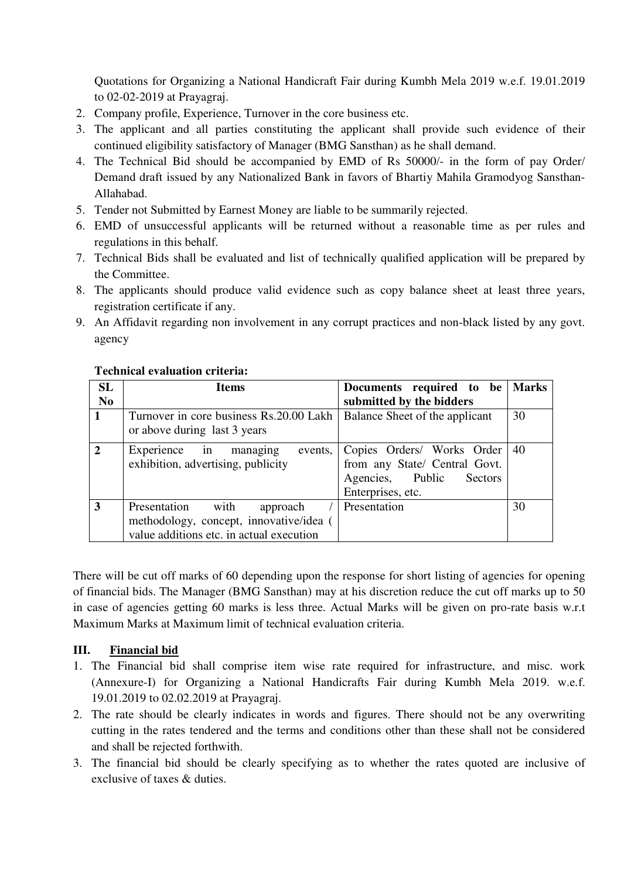Quotations for Organizing a National Handicraft Fair during Kumbh Mela 2019 w.e.f. 19.01.2019 to 02-02-2019 at Prayagraj.

- 2. Company profile, Experience, Turnover in the core business etc.
- 3. The applicant and all parties constituting the applicant shall provide such evidence of their continued eligibility satisfactory of Manager (BMG Sansthan) as he shall demand.
- 4. The Technical Bid should be accompanied by EMD of Rs 50000/- in the form of pay Order/ Demand draft issued by any Nationalized Bank in favors of Bhartiy Mahila Gramodyog Sansthan-Allahabad.
- 5. Tender not Submitted by Earnest Money are liable to be summarily rejected.
- 6. EMD of unsuccessful applicants will be returned without a reasonable time as per rules and regulations in this behalf.
- 7. Technical Bids shall be evaluated and list of technically qualified application will be prepared by the Committee.
- 8. The applicants should produce valid evidence such as copy balance sheet at least three years, registration certificate if any.
- 9. An Affidavit regarding non involvement in any corrupt practices and non-black listed by any govt. agency

| <b>SL</b>      | <b>Items</b>                             | Documents required to be       | <b>Marks</b> |
|----------------|------------------------------------------|--------------------------------|--------------|
| N <sub>0</sub> |                                          | submitted by the bidders       |              |
|                | Turnover in core business Rs.20.00 Lakh  | Balance Sheet of the applicant | 30           |
|                | or above during last 3 years             |                                |              |
| $\mathbf{2}$   | Experience in<br>events,<br>managing     | Copies Orders/ Works Order     | 40           |
|                | exhibition, advertising, publicity       | from any State/ Central Govt.  |              |
|                |                                          | Agencies, Public<br>Sectors    |              |
|                |                                          | Enterprises, etc.              |              |
| 3              | Presentation<br>with<br>approach         | Presentation                   | 30           |
|                | methodology, concept, innovative/idea (  |                                |              |
|                | value additions etc. in actual execution |                                |              |

#### **Technical evaluation criteria:**

There will be cut off marks of 60 depending upon the response for short listing of agencies for opening of financial bids. The Manager (BMG Sansthan) may at his discretion reduce the cut off marks up to 50 in case of agencies getting 60 marks is less three. Actual Marks will be given on pro-rate basis w.r.t Maximum Marks at Maximum limit of technical evaluation criteria.

## **III. Financial bid**

- 1. The Financial bid shall comprise item wise rate required for infrastructure, and misc. work (Annexure-I) for Organizing a National Handicrafts Fair during Kumbh Mela 2019. w.e.f. 19.01.2019 to 02.02.2019 at Prayagraj.
- 2. The rate should be clearly indicates in words and figures. There should not be any overwriting cutting in the rates tendered and the terms and conditions other than these shall not be considered and shall be rejected forthwith.
- 3. The financial bid should be clearly specifying as to whether the rates quoted are inclusive of exclusive of taxes & duties.